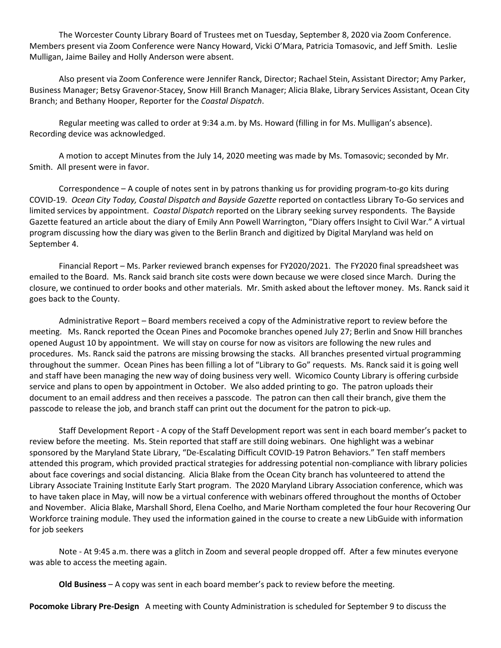The Worcester County Library Board of Trustees met on Tuesday, September 8, 2020 via Zoom Conference. Members present via Zoom Conference were Nancy Howard, Vicki O'Mara, Patricia Tomasovic, and Jeff Smith. Leslie Mulligan, Jaime Bailey and Holly Anderson were absent.

Also present via Zoom Conference were Jennifer Ranck, Director; Rachael Stein, Assistant Director; Amy Parker, Business Manager; Betsy Gravenor-Stacey, Snow Hill Branch Manager; Alicia Blake, Library Services Assistant, Ocean City Branch; and Bethany Hooper, Reporter for the *Coastal Dispatch*.

Regular meeting was called to order at 9:34 a.m. by Ms. Howard (filling in for Ms. Mulligan's absence). Recording device was acknowledged.

A motion to accept Minutes from the July 14, 2020 meeting was made by Ms. Tomasovic; seconded by Mr. Smith. All present were in favor.

Correspondence – A couple of notes sent in by patrons thanking us for providing program-to-go kits during COVID-19. *Ocean City Today, Coastal Dispatch and Bayside Gazette* reported on contactless Library To-Go services and limited services by appointment. *Coastal Dispatch* reported on the Library seeking survey respondents. The Bayside Gazette featured an article about the diary of Emily Ann Powell Warrington, "Diary offers Insight to Civil War." A virtual program discussing how the diary was given to the Berlin Branch and digitized by Digital Maryland was held on September 4.

Financial Report – Ms. Parker reviewed branch expenses for FY2020/2021. The FY2020 final spreadsheet was emailed to the Board. Ms. Ranck said branch site costs were down because we were closed since March. During the closure, we continued to order books and other materials. Mr. Smith asked about the leftover money. Ms. Ranck said it goes back to the County.

Administrative Report – Board members received a copy of the Administrative report to review before the meeting. Ms. Ranck reported the Ocean Pines and Pocomoke branches opened July 27; Berlin and Snow Hill branches opened August 10 by appointment. We will stay on course for now as visitors are following the new rules and procedures. Ms. Ranck said the patrons are missing browsing the stacks. All branches presented virtual programming throughout the summer. Ocean Pines has been filling a lot of "Library to Go" requests. Ms. Ranck said it is going well and staff have been managing the new way of doing business very well. Wicomico County Library is offering curbside service and plans to open by appointment in October. We also added printing to go. The patron uploads their document to an email address and then receives a passcode. The patron can then call their branch, give them the passcode to release the job, and branch staff can print out the document for the patron to pick-up.

Staff Development Report - A copy of the Staff Development report was sent in each board member's packet to review before the meeting. Ms. Stein reported that staff are still doing webinars. One highlight was a webinar sponsored by the Maryland State Library, "De-Escalating Difficult COVID-19 Patron Behaviors." Ten staff members attended this program, which provided practical strategies for addressing potential non-compliance with library policies about face coverings and social distancing. Alicia Blake from the Ocean City branch has volunteered to attend the Library Associate Training Institute Early Start program. The 2020 Maryland Library Association conference, which was to have taken place in May, will now be a virtual conference with webinars offered throughout the months of October and November. Alicia Blake, Marshall Shord, Elena Coelho, and Marie Northam completed the four hour Recovering Our Workforce training module. They used the information gained in the course to create a new LibGuide with information for job seekers

Note - At 9:45 a.m. there was a glitch in Zoom and several people dropped off. After a few minutes everyone was able to access the meeting again.

**Old Business** – A copy was sent in each board member's pack to review before the meeting.

**Pocomoke Library Pre-Design** A meeting with County Administration is scheduled for September 9 to discuss the